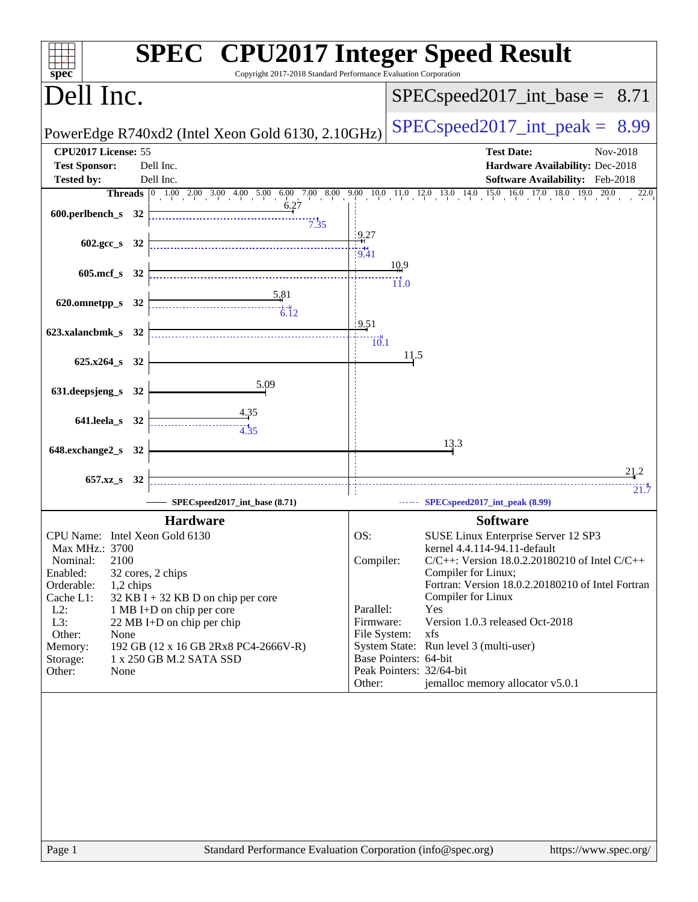|                                                   | <b>SPEC<sup>®</sup></b> CPU2017 Integer Speed Result<br>Copyright 2017-2018 Standard Performance Evaluation Corporation |                                                   |                                                                           |
|---------------------------------------------------|-------------------------------------------------------------------------------------------------------------------------|---------------------------------------------------|---------------------------------------------------------------------------|
| spec <sup>®</sup><br>Dell Inc.                    |                                                                                                                         |                                                   | $SPEC speed2017\_int\_base = 8.71$                                        |
| PowerEdge R740xd2 (Intel Xeon Gold 6130, 2.10GHz) |                                                                                                                         |                                                   | $SPEC speed2017\_int\_peak =$<br>8.99                                     |
| CPU2017 License: 55                               |                                                                                                                         |                                                   | <b>Test Date:</b><br>Nov-2018                                             |
| <b>Test Sponsor:</b>                              | Dell Inc.                                                                                                               |                                                   | Hardware Availability: Dec-2018                                           |
| <b>Tested by:</b>                                 | Dell Inc.                                                                                                               |                                                   | <b>Software Availability:</b> Feb-2018                                    |
|                                                   | <b>Threads</b> 0 1.00 2.00 3.00 4.00 5.00 6.00 7.00 8.00 9.00 10.0 11.0 12.0 13.0 14.0 15.0 16.0 17.0 18.0 19.0 20.0    |                                                   | 22.0                                                                      |
| 600.perlbench_s 32                                | 6.27<br>7.35                                                                                                            |                                                   |                                                                           |
| 602.gcc_s 32                                      |                                                                                                                         | 9.27<br>$\frac{1}{9.41}$                          |                                                                           |
| 605.mcf_s 32                                      |                                                                                                                         | 10.9                                              |                                                                           |
| 620.omnetpp_s 32                                  | $\frac{5.81}{4}$                                                                                                        | $\dddot{11.0}$                                    |                                                                           |
|                                                   | $\frac{1}{6.12}$                                                                                                        | 19.51                                             |                                                                           |
| 623.xalancbmk_s 32                                |                                                                                                                         | $\frac{1}{0.1}$                                   |                                                                           |
| 625.x264_s 32                                     |                                                                                                                         | 11.5                                              |                                                                           |
| 631.deepsjeng_s 32                                | 5.09                                                                                                                    |                                                   |                                                                           |
| 641.leela_s 32                                    | <u>4.35</u>                                                                                                             |                                                   |                                                                           |
| 648.exchange2_s 32                                |                                                                                                                         |                                                   | 13.3                                                                      |
|                                                   |                                                                                                                         |                                                   | 21.2                                                                      |
| 657.xz_s                                          | 32                                                                                                                      |                                                   | 21.7                                                                      |
|                                                   | SPECspeed2017_int_base (8.71)                                                                                           |                                                   | SPECspeed2017_int_peak (8.99)                                             |
|                                                   | <b>Hardware</b>                                                                                                         |                                                   | <b>Software</b>                                                           |
|                                                   | CPU Name: Intel Xeon Gold 6130                                                                                          | OS:                                               | SUSE Linux Enterprise Server 12 SP3                                       |
| Max MHz.: 3700<br>Nominal:<br>2100                |                                                                                                                         |                                                   | kernel 4.4.114-94.11-default                                              |
| Enabled:                                          | 32 cores, 2 chips                                                                                                       | Compiler:                                         | $C/C++$ : Version 18.0.2.20180210 of Intel $C/C++$<br>Compiler for Linux; |
| Orderable:                                        | 1,2 chips                                                                                                               |                                                   | Fortran: Version 18.0.2.20180210 of Intel Fortran                         |
| Cache L1:                                         | 32 KB I + 32 KB D on chip per core                                                                                      |                                                   | Compiler for Linux                                                        |
| $L2$ :<br>L3:                                     | 1 MB I+D on chip per core<br>22 MB I+D on chip per chip                                                                 | Parallel:<br>Firmware:                            | Yes<br>Version 1.0.3 released Oct-2018                                    |
| Other:<br>None                                    |                                                                                                                         | File System:                                      | xfs                                                                       |
| Memory:                                           | 192 GB (12 x 16 GB 2Rx8 PC4-2666V-R)                                                                                    |                                                   | System State: Run level 3 (multi-user)                                    |
| Storage:<br>Other:<br>None                        | 1 x 250 GB M.2 SATA SSD                                                                                                 | Base Pointers: 64-bit<br>Peak Pointers: 32/64-bit |                                                                           |
|                                                   |                                                                                                                         | Other:                                            | jemalloc memory allocator v5.0.1                                          |
|                                                   |                                                                                                                         |                                                   |                                                                           |
| Page 1                                            | Standard Performance Evaluation Corporation (info@spec.org)                                                             |                                                   | https://www.spec.org/                                                     |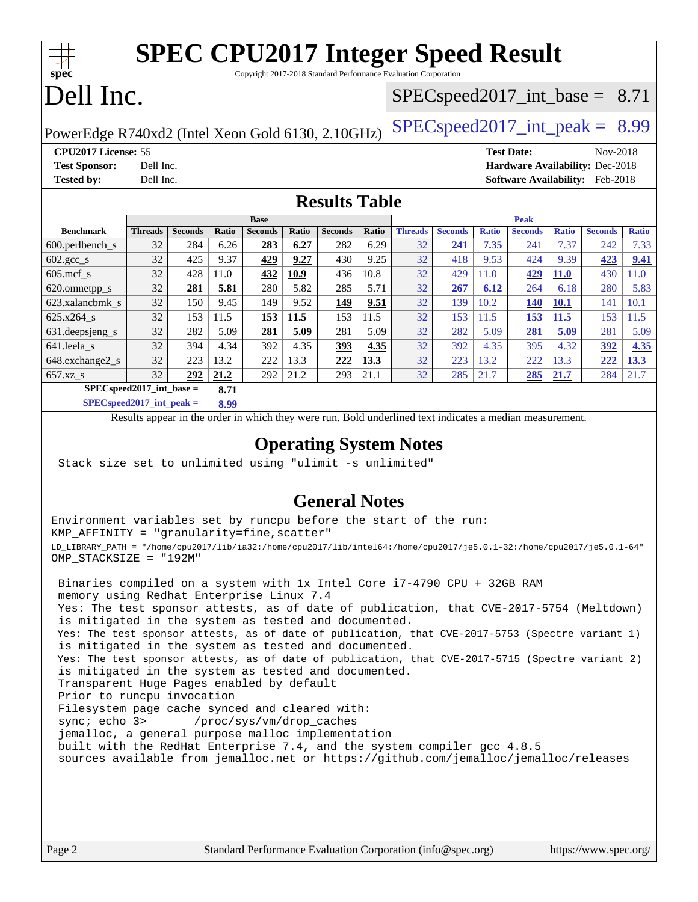| $Spec^*$ | <b>SPEC CPU2017 Integer Speed Result</b><br>Copyright 2017-2018 Standard Performance Evaluation Corporation |  |  |  |  |
|----------|-------------------------------------------------------------------------------------------------------------|--|--|--|--|
|          | Dell Inc.<br>$ $ SPECspeed2017_int_base = 8.71                                                              |  |  |  |  |

PowerEdge R740xd2 (Intel Xeon Gold 6130, 2.10GHz)  $\left|$  [SPECspeed2017\\_int\\_peak =](http://www.spec.org/auto/cpu2017/Docs/result-fields.html#SPECspeed2017intpeak) 8.99

**[CPU2017 License:](http://www.spec.org/auto/cpu2017/Docs/result-fields.html#CPU2017License)** 55 **[Test Date:](http://www.spec.org/auto/cpu2017/Docs/result-fields.html#TestDate)** Nov-2018 **[Test Sponsor:](http://www.spec.org/auto/cpu2017/Docs/result-fields.html#TestSponsor)** Dell Inc. **[Hardware Availability:](http://www.spec.org/auto/cpu2017/Docs/result-fields.html#HardwareAvailability)** Dec-2018 **[Tested by:](http://www.spec.org/auto/cpu2017/Docs/result-fields.html#Testedby)** Dell Inc. **[Software Availability:](http://www.spec.org/auto/cpu2017/Docs/result-fields.html#SoftwareAvailability)** Feb-2018

### **[Results Table](http://www.spec.org/auto/cpu2017/Docs/result-fields.html#ResultsTable)**

|                                      | <b>Base</b>    |                |       |                |       | <b>Peak</b>    |       |                |                |              |                |              |                |              |
|--------------------------------------|----------------|----------------|-------|----------------|-------|----------------|-------|----------------|----------------|--------------|----------------|--------------|----------------|--------------|
| <b>Benchmark</b>                     | <b>Threads</b> | <b>Seconds</b> | Ratio | <b>Seconds</b> | Ratio | <b>Seconds</b> | Ratio | <b>Threads</b> | <b>Seconds</b> | <b>Ratio</b> | <b>Seconds</b> | <b>Ratio</b> | <b>Seconds</b> | <b>Ratio</b> |
| $600.$ perlbench $\mathsf{S}$        | 32             | 284            | 6.26  | 283            | 6.27  | 282            | 6.29  | 32             | 241            | 7.35         | 241            | 7.37         | 242            | 7.33         |
| $602.\text{gcc}\_\text{s}$           | 32             | 425            | 9.37  | 429            | 9.27  | 430            | 9.25  | 32             | 418            | 9.53         | 424            | 9.39         | 423            | 9.41         |
| $605$ .mcf s                         | 32             | 428            | 11.0  | 432            | 10.9  | 436            | 10.8  | 32             | 429            | 11.0         | 429            | <b>11.0</b>  | 430            | 1.0          |
| 620.omnetpp_s                        | 32             | 281            | 5.81  | 280            | 5.82  | 285            | 5.71  | 32             | 267            | 6.12         | 264            | 6.18         | 280            | 5.83         |
| 623.xalancbmk s                      | 32             | 150            | 9.45  | 149            | 9.52  | 149            | 9.51  | 32             | 139            | 10.2         | 140            | <b>10.1</b>  | 141            | 10.1         |
| 625.x264 s                           | 32             | 153            | 11.5  | 153            | 11.5  | 153            | 11.5  | 32             | 153            | 11.5         | 153            | 11.5         | 153            | 11.5         |
| 631.deepsjeng_s                      | 32             | 282            | 5.09  | 281            | 5.09  | 281            | 5.09  | 32             | 282            | 5.09         | 281            | 5.09         | 281            | 5.09         |
| 641.leela s                          | 32             | 394            | 4.34  | 392            | 4.35  | 393            | 4.35  | 32             | 392            | 4.35         | 395            | 4.32         | 392            | 4.35         |
| 648.exchange2 s                      | 32             | 223            | 13.2  | 222            | 13.3  | 222            | 13.3  | 32             | 223            | 13.2         | 222            | 13.3         | 222            | 13.3         |
| $657.xz$ <sub>_S</sub>               | 32             | 292            | 21.2  | 292            | 21.2  | 293            | 21.1  | 32             | 285            | 21.7         | 285            | 21.7         | 284            | 21.7         |
| $SPECspeed2017\_int\_base =$<br>8.71 |                |                |       |                |       |                |       |                |                |              |                |              |                |              |

**[SPECspeed2017\\_int\\_peak =](http://www.spec.org/auto/cpu2017/Docs/result-fields.html#SPECspeed2017intpeak) 8.99**

Results appear in the [order in which they were run.](http://www.spec.org/auto/cpu2017/Docs/result-fields.html#RunOrder) Bold underlined text [indicates a median measurement](http://www.spec.org/auto/cpu2017/Docs/result-fields.html#Median).

### **[Operating System Notes](http://www.spec.org/auto/cpu2017/Docs/result-fields.html#OperatingSystemNotes)**

Stack size set to unlimited using "ulimit -s unlimited"

### **[General Notes](http://www.spec.org/auto/cpu2017/Docs/result-fields.html#GeneralNotes)**

Environment variables set by runcpu before the start of the run: KMP\_AFFINITY = "granularity=fine,scatter" LD\_LIBRARY\_PATH = "/home/cpu2017/lib/ia32:/home/cpu2017/lib/intel64:/home/cpu2017/je5.0.1-32:/home/cpu2017/je5.0.1-64" OMP\_STACKSIZE = "192M"

 Binaries compiled on a system with 1x Intel Core i7-4790 CPU + 32GB RAM memory using Redhat Enterprise Linux 7.4 Yes: The test sponsor attests, as of date of publication, that CVE-2017-5754 (Meltdown) is mitigated in the system as tested and documented. Yes: The test sponsor attests, as of date of publication, that CVE-2017-5753 (Spectre variant 1) is mitigated in the system as tested and documented. Yes: The test sponsor attests, as of date of publication, that CVE-2017-5715 (Spectre variant 2) is mitigated in the system as tested and documented. Transparent Huge Pages enabled by default Prior to runcpu invocation Filesystem page cache synced and cleared with: sync; echo 3> /proc/sys/vm/drop\_caches jemalloc, a general purpose malloc implementation built with the RedHat Enterprise 7.4, and the system compiler gcc 4.8.5 sources available from jemalloc.net or <https://github.com/jemalloc/jemalloc/releases>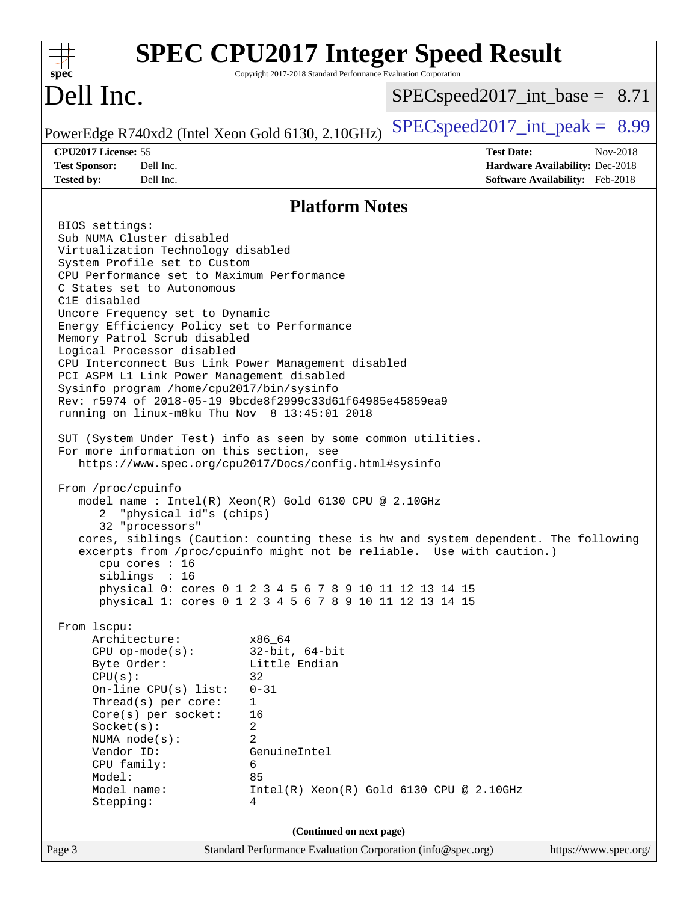| spec <sup>®</sup>                                                                                                                                                                                                                                                                                                                                                                                                                                                                                                                                                                                                                                                                                                                                                                                                                                                                                                                                                                                                                                                                                                                                                                                                                                                                                                                                                                                                                                                                                                                                                               | Copyright 2017-2018 Standard Performance Evaluation Corporation | <b>SPEC CPU2017 Integer Speed Result</b>                      |                                                                                       |  |  |
|---------------------------------------------------------------------------------------------------------------------------------------------------------------------------------------------------------------------------------------------------------------------------------------------------------------------------------------------------------------------------------------------------------------------------------------------------------------------------------------------------------------------------------------------------------------------------------------------------------------------------------------------------------------------------------------------------------------------------------------------------------------------------------------------------------------------------------------------------------------------------------------------------------------------------------------------------------------------------------------------------------------------------------------------------------------------------------------------------------------------------------------------------------------------------------------------------------------------------------------------------------------------------------------------------------------------------------------------------------------------------------------------------------------------------------------------------------------------------------------------------------------------------------------------------------------------------------|-----------------------------------------------------------------|---------------------------------------------------------------|---------------------------------------------------------------------------------------|--|--|
| Dell Inc.                                                                                                                                                                                                                                                                                                                                                                                                                                                                                                                                                                                                                                                                                                                                                                                                                                                                                                                                                                                                                                                                                                                                                                                                                                                                                                                                                                                                                                                                                                                                                                       | $SPEC speed2017\_int\_base = 8.71$                              |                                                               |                                                                                       |  |  |
| PowerEdge R740xd2 (Intel Xeon Gold 6130, 2.10GHz)                                                                                                                                                                                                                                                                                                                                                                                                                                                                                                                                                                                                                                                                                                                                                                                                                                                                                                                                                                                                                                                                                                                                                                                                                                                                                                                                                                                                                                                                                                                               |                                                                 | $SPEC speed2017\_int\_peak = 8.99$                            |                                                                                       |  |  |
| CPU2017 License: 55<br><b>Test Sponsor:</b><br>Dell Inc.<br>Dell Inc.<br><b>Tested by:</b>                                                                                                                                                                                                                                                                                                                                                                                                                                                                                                                                                                                                                                                                                                                                                                                                                                                                                                                                                                                                                                                                                                                                                                                                                                                                                                                                                                                                                                                                                      |                                                                 | <b>Test Date:</b>                                             | Nov-2018<br>Hardware Availability: Dec-2018<br><b>Software Availability:</b> Feb-2018 |  |  |
|                                                                                                                                                                                                                                                                                                                                                                                                                                                                                                                                                                                                                                                                                                                                                                                                                                                                                                                                                                                                                                                                                                                                                                                                                                                                                                                                                                                                                                                                                                                                                                                 | <b>Platform Notes</b>                                           |                                                               |                                                                                       |  |  |
| BIOS settings:<br>Sub NUMA Cluster disabled<br>Virtualization Technology disabled<br>System Profile set to Custom<br>CPU Performance set to Maximum Performance<br>C States set to Autonomous<br>C1E disabled<br>Uncore Frequency set to Dynamic<br>Energy Efficiency Policy set to Performance<br>Memory Patrol Scrub disabled<br>Logical Processor disabled<br>CPU Interconnect Bus Link Power Management disabled<br>PCI ASPM L1 Link Power Management disabled<br>Sysinfo program /home/cpu2017/bin/sysinfo<br>Rev: r5974 of 2018-05-19 9bcde8f2999c33d61f64985e45859ea9<br>running on linux-m8ku Thu Nov 8 13:45:01 2018<br>SUT (System Under Test) info as seen by some common utilities.<br>For more information on this section, see<br>https://www.spec.org/cpu2017/Docs/config.html#sysinfo<br>From /proc/cpuinfo<br>model name : Intel(R) Xeon(R) Gold 6130 CPU @ 2.10GHz<br>"physical id"s (chips)<br>2<br>32 "processors"<br>cores, siblings (Caution: counting these is hw and system dependent. The following<br>excerpts from /proc/cpuinfo might not be reliable. Use with caution.)<br>cpu cores $: 16$<br>siblings : 16<br>physical 0: cores 0 1 2 3 4 5 6 7 8 9 10 11 12 13 14 15<br>physical 1: cores 0 1 2 3 4 5 6 7 8 9 10 11 12 13 14 15<br>From lscpu:<br>Architecture:<br>x86_64<br>$CPU$ op-mode( $s$ ):<br>Byte Order:<br>CPU(s):<br>32<br>$0 - 31$<br>On-line $CPU(s)$ list:<br>Thread(s) per core:<br>1<br>Core(s) per socket:<br>16<br>Socket(s):<br>2<br>2<br>NUMA $node(s)$ :<br>Vendor ID:<br>CPU family:<br>6<br>Model:<br>85<br>Model name: | $32$ -bit, $64$ -bit<br>Little Endian<br>GenuineIntel           | $Intel(R)$ Xeon $(R)$ Gold 6130 CPU @ 2.10GHz                 |                                                                                       |  |  |
| Stepping:<br>4                                                                                                                                                                                                                                                                                                                                                                                                                                                                                                                                                                                                                                                                                                                                                                                                                                                                                                                                                                                                                                                                                                                                                                                                                                                                                                                                                                                                                                                                                                                                                                  |                                                                 |                                                               |                                                                                       |  |  |
| $Pa$ <sub>00</sub> 3                                                                                                                                                                                                                                                                                                                                                                                                                                                                                                                                                                                                                                                                                                                                                                                                                                                                                                                                                                                                                                                                                                                                                                                                                                                                                                                                                                                                                                                                                                                                                            | (Continued on next page)                                        | Standard Performance Evaluation Corporation $(info@spec.org)$ | https://www.spec.org/                                                                 |  |  |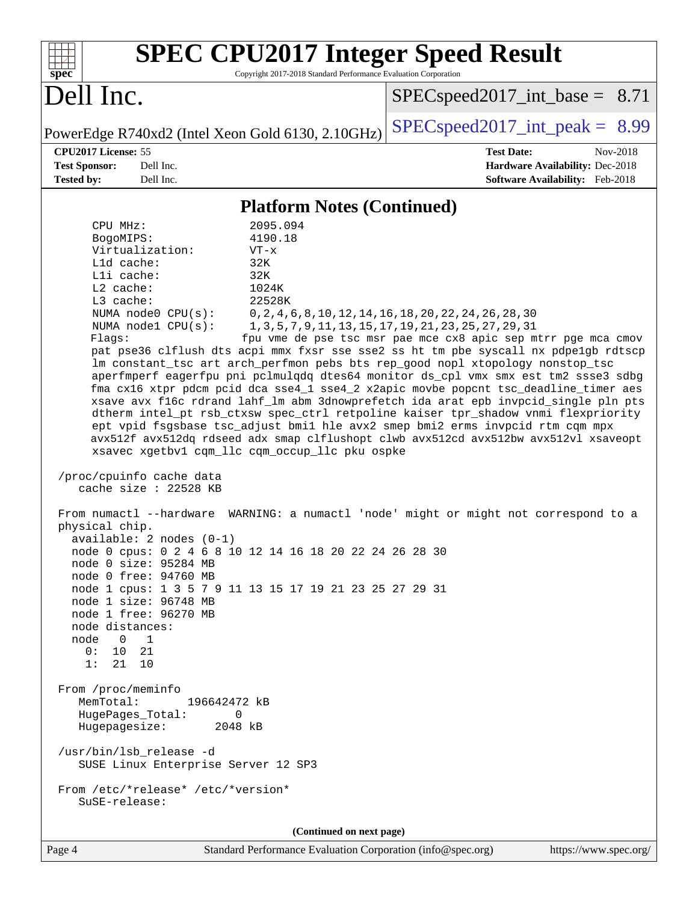| <b>SPEC CPU2017 Integer Speed Result</b><br>Copyright 2017-2018 Standard Performance Evaluation Corporation<br>spec                                                                                                                                                                                                                                                                                                                                                                                                                                                                                                                                                                                                                                                                                                                                                                                                                                                                                                                                                                                                                                                                                                                                                                                                                                                                                                                                                                                                                                                                       |                                                                                                                                                                                         |  |  |  |  |
|-------------------------------------------------------------------------------------------------------------------------------------------------------------------------------------------------------------------------------------------------------------------------------------------------------------------------------------------------------------------------------------------------------------------------------------------------------------------------------------------------------------------------------------------------------------------------------------------------------------------------------------------------------------------------------------------------------------------------------------------------------------------------------------------------------------------------------------------------------------------------------------------------------------------------------------------------------------------------------------------------------------------------------------------------------------------------------------------------------------------------------------------------------------------------------------------------------------------------------------------------------------------------------------------------------------------------------------------------------------------------------------------------------------------------------------------------------------------------------------------------------------------------------------------------------------------------------------------|-----------------------------------------------------------------------------------------------------------------------------------------------------------------------------------------|--|--|--|--|
| Dell Inc.                                                                                                                                                                                                                                                                                                                                                                                                                                                                                                                                                                                                                                                                                                                                                                                                                                                                                                                                                                                                                                                                                                                                                                                                                                                                                                                                                                                                                                                                                                                                                                                 | $SPEC speed2017\_int\_base = 8.71$                                                                                                                                                      |  |  |  |  |
| PowerEdge R740xd2 (Intel Xeon Gold 6130, 2.10GHz)                                                                                                                                                                                                                                                                                                                                                                                                                                                                                                                                                                                                                                                                                                                                                                                                                                                                                                                                                                                                                                                                                                                                                                                                                                                                                                                                                                                                                                                                                                                                         | $SPEC speed2017\_int\_peak = 8.99$                                                                                                                                                      |  |  |  |  |
| CPU2017 License: 55                                                                                                                                                                                                                                                                                                                                                                                                                                                                                                                                                                                                                                                                                                                                                                                                                                                                                                                                                                                                                                                                                                                                                                                                                                                                                                                                                                                                                                                                                                                                                                       | <b>Test Date:</b><br>Nov-2018                                                                                                                                                           |  |  |  |  |
| Dell Inc.<br><b>Test Sponsor:</b><br>Dell Inc.                                                                                                                                                                                                                                                                                                                                                                                                                                                                                                                                                                                                                                                                                                                                                                                                                                                                                                                                                                                                                                                                                                                                                                                                                                                                                                                                                                                                                                                                                                                                            | Hardware Availability: Dec-2018                                                                                                                                                         |  |  |  |  |
| Tested by:                                                                                                                                                                                                                                                                                                                                                                                                                                                                                                                                                                                                                                                                                                                                                                                                                                                                                                                                                                                                                                                                                                                                                                                                                                                                                                                                                                                                                                                                                                                                                                                | <b>Software Availability:</b> Feb-2018                                                                                                                                                  |  |  |  |  |
| <b>Platform Notes (Continued)</b>                                                                                                                                                                                                                                                                                                                                                                                                                                                                                                                                                                                                                                                                                                                                                                                                                                                                                                                                                                                                                                                                                                                                                                                                                                                                                                                                                                                                                                                                                                                                                         |                                                                                                                                                                                         |  |  |  |  |
| 2095.094<br>CPU MHz:<br>4190.18<br>BogoMIPS:<br>Virtualization:<br>$VT - x$<br>Lld cache:<br>32K<br>Lli cache:<br>32K<br>L2 cache:<br>1024K<br>22528K<br>L3 cache:<br>NUMA node0 CPU(s):<br>NUMA nodel CPU(s):<br>Flags:<br>pat pse36 clflush dts acpi mmx fxsr sse sse2 ss ht tm pbe syscall nx pdpelgb rdtscp<br>lm constant_tsc art arch_perfmon pebs bts rep_good nopl xtopology nonstop_tsc<br>aperfmperf eagerfpu pni pclmulqdq dtes64 monitor ds_cpl vmx smx est tm2 ssse3 sdbg<br>fma cx16 xtpr pdcm pcid dca sse4_1 sse4_2 x2apic movbe popcnt tsc_deadline_timer aes<br>xsave avx f16c rdrand lahf_lm abm 3dnowprefetch ida arat epb invpcid_single pln pts<br>dtherm intel_pt rsb_ctxsw spec_ctrl retpoline kaiser tpr_shadow vnmi flexpriority<br>ept vpid fsgsbase tsc_adjust bmil hle avx2 smep bmi2 erms invpcid rtm cqm mpx<br>avx512f avx512dq rdseed adx smap clflushopt clwb avx512cd avx512bw avx512vl xsaveopt<br>xsavec xgetbv1 cqm_llc cqm_occup_llc pku ospke<br>/proc/cpuinfo cache data<br>cache size : 22528 KB<br>From numactl --hardware WARNING: a numactl 'node' might or might not correspond to a<br>physical chip.<br>$available: 2 nodes (0-1)$<br>node 0 cpus: 0 2 4 6 8 10 12 14 16 18 20 22 24 26 28 30<br>node 0 size: 95284 MB<br>node 0 free: 94760 MB<br>node 1 cpus: 1 3 5 7 9 11 13 15 17 19 21 23 25 27 29 31<br>node 1 size: 96748 MB<br>node 1 free: 96270 MB<br>node distances:<br>node<br>$\overline{\phantom{0}}$<br>$\overline{1}$<br>0: 10.21<br>1: 21 10<br>From /proc/meminfo<br>MemTotal:<br>196642472 kB<br>HugePages_Total:<br>0 | 0, 2, 4, 6, 8, 10, 12, 14, 16, 18, 20, 22, 24, 26, 28, 30<br>1, 3, 5, 7, 9, 11, 13, 15, 17, 19, 21, 23, 25, 27, 29, 31<br>fpu vme de pse tsc msr pae mce cx8 apic sep mtrr pge mca cmov |  |  |  |  |
| Hugepagesize:<br>2048 kB<br>/usr/bin/lsb_release -d<br>SUSE Linux Enterprise Server 12 SP3                                                                                                                                                                                                                                                                                                                                                                                                                                                                                                                                                                                                                                                                                                                                                                                                                                                                                                                                                                                                                                                                                                                                                                                                                                                                                                                                                                                                                                                                                                |                                                                                                                                                                                         |  |  |  |  |
| From /etc/*release* /etc/*version*<br>SuSE-release:                                                                                                                                                                                                                                                                                                                                                                                                                                                                                                                                                                                                                                                                                                                                                                                                                                                                                                                                                                                                                                                                                                                                                                                                                                                                                                                                                                                                                                                                                                                                       |                                                                                                                                                                                         |  |  |  |  |
| (Continued on next page)                                                                                                                                                                                                                                                                                                                                                                                                                                                                                                                                                                                                                                                                                                                                                                                                                                                                                                                                                                                                                                                                                                                                                                                                                                                                                                                                                                                                                                                                                                                                                                  |                                                                                                                                                                                         |  |  |  |  |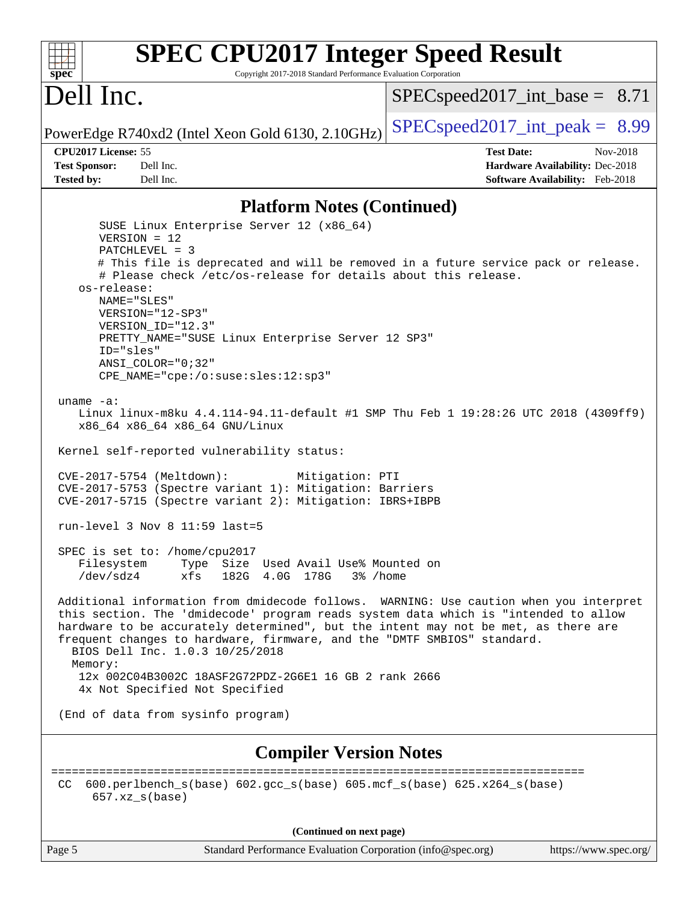#### **[spec](http://www.spec.org/) [SPEC CPU2017 Integer Speed Result](http://www.spec.org/auto/cpu2017/Docs/result-fields.html#SPECCPU2017IntegerSpeedResult)** Copyright 2017-2018 Standard Performance Evaluation Corporation Dell Inc. PowerEdge R740xd2 (Intel Xeon Gold 6130, 2.10GHz)  $\left|$  [SPECspeed2017\\_int\\_peak =](http://www.spec.org/auto/cpu2017/Docs/result-fields.html#SPECspeed2017intpeak) 8.99  $SPECspeed2017\_int\_base = 8.71$ **[CPU2017 License:](http://www.spec.org/auto/cpu2017/Docs/result-fields.html#CPU2017License)** 55 **[Test Date:](http://www.spec.org/auto/cpu2017/Docs/result-fields.html#TestDate)** Nov-2018 **[Test Sponsor:](http://www.spec.org/auto/cpu2017/Docs/result-fields.html#TestSponsor)** Dell Inc. **[Hardware Availability:](http://www.spec.org/auto/cpu2017/Docs/result-fields.html#HardwareAvailability)** Dec-2018 **[Tested by:](http://www.spec.org/auto/cpu2017/Docs/result-fields.html#Testedby)** Dell Inc. **[Software Availability:](http://www.spec.org/auto/cpu2017/Docs/result-fields.html#SoftwareAvailability)** Feb-2018 **[Platform Notes \(Continued\)](http://www.spec.org/auto/cpu2017/Docs/result-fields.html#PlatformNotes)** SUSE Linux Enterprise Server 12 (x86\_64) VERSION = 12 PATCHLEVEL = 3 # This file is deprecated and will be removed in a future service pack or release. # Please check /etc/os-release for details about this release. os-release: NAME="SLES" VERSION="12-SP3" VERSION\_ID="12.3" PRETTY\_NAME="SUSE Linux Enterprise Server 12 SP3" ID="sles" ANSI\_COLOR="0;32" CPE\_NAME="cpe:/o:suse:sles:12:sp3" uname -a: Linux linux-m8ku 4.4.114-94.11-default #1 SMP Thu Feb 1 19:28:26 UTC 2018 (4309ff9) x86\_64 x86\_64 x86\_64 GNU/Linux Kernel self-reported vulnerability status: CVE-2017-5754 (Meltdown): Mitigation: PTI CVE-2017-5753 (Spectre variant 1): Mitigation: Barriers CVE-2017-5715 (Spectre variant 2): Mitigation: IBRS+IBPB run-level 3 Nov 8 11:59 last=5 SPEC is set to: /home/cpu2017 Filesystem Type Size Used Avail Use% Mounted on /dev/sdz4 xfs 182G 4.0G 178G 3% /home Additional information from dmidecode follows. WARNING: Use caution when you interpret this section. The 'dmidecode' program reads system data which is "intended to allow hardware to be accurately determined", but the intent may not be met, as there are frequent changes to hardware, firmware, and the "DMTF SMBIOS" standard. BIOS Dell Inc. 1.0.3 10/25/2018 Memory: 12x 002C04B3002C 18ASF2G72PDZ-2G6E1 16 GB 2 rank 2666 4x Not Specified Not Specified (End of data from sysinfo program) **[Compiler Version Notes](http://www.spec.org/auto/cpu2017/Docs/result-fields.html#CompilerVersionNotes)** ============================================================================== CC 600.perlbench\_s(base) 602.gcc\_s(base) 605.mcf\_s(base) 625.x264\_s(base) 657.xz\_s(base) **(Continued on next page)**

Page 5 Standard Performance Evaluation Corporation [\(info@spec.org\)](mailto:info@spec.org) <https://www.spec.org/>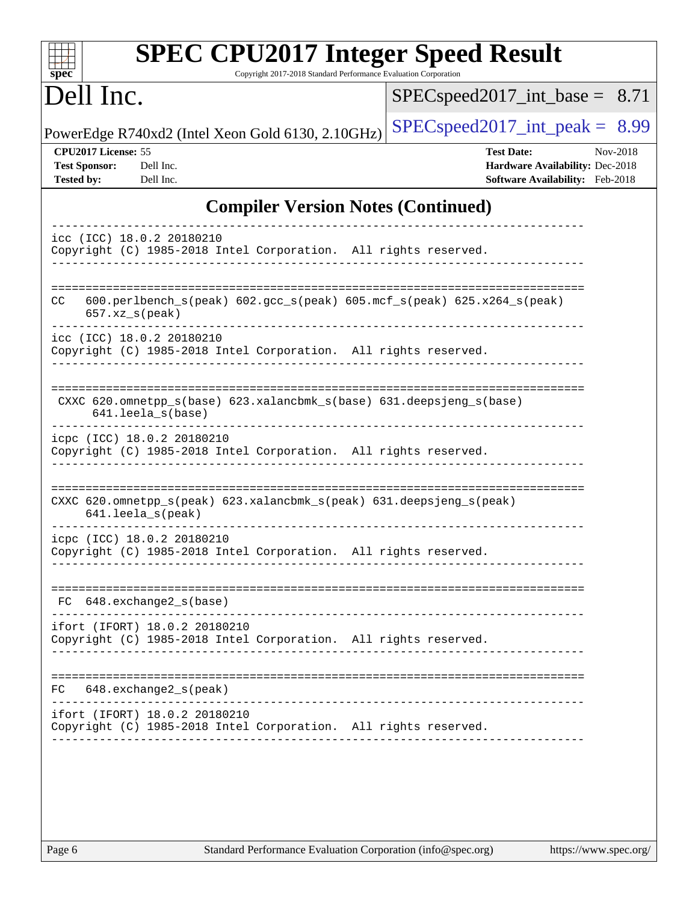| <b>SPEC CPU2017 Integer Speed Result</b><br>Copyright 2017-2018 Standard Performance Evaluation Corporation<br>spec <sup>®</sup> |                                                                                                     |
|----------------------------------------------------------------------------------------------------------------------------------|-----------------------------------------------------------------------------------------------------|
| Dell Inc.                                                                                                                        | $SPEC speed2017\_int\_base = 8.71$                                                                  |
| PowerEdge R740xd2 (Intel Xeon Gold 6130, 2.10GHz)                                                                                | $SPEC speed2017\_int\_peak = 8.99$                                                                  |
| CPU2017 License: 55<br><b>Test Sponsor:</b><br>Dell Inc.<br><b>Tested by:</b><br>Dell Inc.                                       | <b>Test Date:</b><br>Nov-2018<br>Hardware Availability: Dec-2018<br>Software Availability: Feb-2018 |
| <b>Compiler Version Notes (Continued)</b>                                                                                        |                                                                                                     |
| icc (ICC) 18.0.2 20180210<br>Copyright (C) 1985-2018 Intel Corporation. All rights reserved.                                     |                                                                                                     |
| $600.perlbench_s (peak) 602.gcc_s (peak) 605.mef_s (peak) 625. x264_s (peak)$<br>CC.<br>$657.xz_s(peak)$                         |                                                                                                     |
| icc (ICC) 18.0.2 20180210<br>Copyright (C) 1985-2018 Intel Corporation. All rights reserved.                                     |                                                                                                     |
| CXXC 620.omnetpp_s(base) 623.xalancbmk_s(base) 631.deepsjeng_s(base)<br>$641.$ leela_s(base)                                     |                                                                                                     |
| icpc (ICC) 18.0.2 20180210<br>Copyright (C) 1985-2018 Intel Corporation. All rights reserved.                                    |                                                                                                     |
| CXXC 620.omnetpp_s(peak) 623.xalancbmk_s(peak) 631.deepsjeng_s(peak)<br>641.leela_s(peak)                                        |                                                                                                     |
| icpc (ICC) 18.0.2 20180210<br>Copyright (C) 1985-2018 Intel Corporation. All rights reserved.                                    |                                                                                                     |
| FC 648. exchange2 s(base)                                                                                                        |                                                                                                     |
| ifort (IFORT) 18.0.2 20180210<br>Copyright (C) 1985-2018 Intel Corporation. All rights reserved.                                 |                                                                                                     |
| $648$ . exchange $2_s$ (peak)<br>FC                                                                                              |                                                                                                     |
| ifort (IFORT) 18.0.2 20180210<br>Copyright (C) 1985-2018 Intel Corporation. All rights reserved.                                 |                                                                                                     |
|                                                                                                                                  |                                                                                                     |
|                                                                                                                                  |                                                                                                     |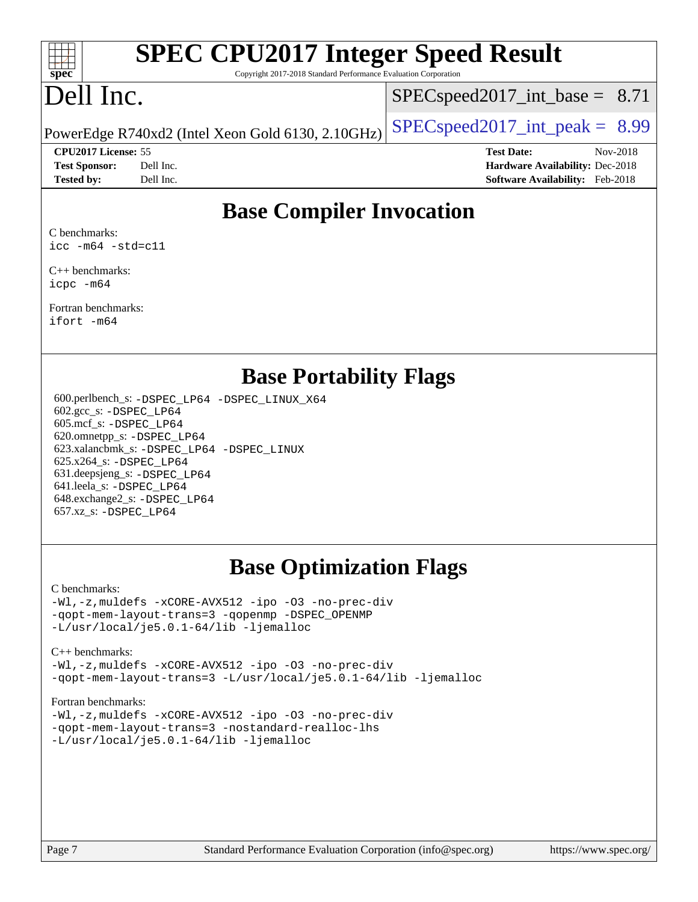

# **[SPEC CPU2017 Integer Speed Result](http://www.spec.org/auto/cpu2017/Docs/result-fields.html#SPECCPU2017IntegerSpeedResult)**

Copyright 2017-2018 Standard Performance Evaluation Corporation

# Dell Inc.

 $SPECspeed2017\_int\_base = 8.71$ 

**[CPU2017 License:](http://www.spec.org/auto/cpu2017/Docs/result-fields.html#CPU2017License)** 55 **[Test Date:](http://www.spec.org/auto/cpu2017/Docs/result-fields.html#TestDate)** Nov-2018

PowerEdge R740xd2 (Intel Xeon Gold 6130, 2.10GHz)  $\left|$  [SPECspeed2017\\_int\\_peak =](http://www.spec.org/auto/cpu2017/Docs/result-fields.html#SPECspeed2017intpeak) 8.99

**[Test Sponsor:](http://www.spec.org/auto/cpu2017/Docs/result-fields.html#TestSponsor)** Dell Inc. **[Hardware Availability:](http://www.spec.org/auto/cpu2017/Docs/result-fields.html#HardwareAvailability)** Dec-2018 **[Tested by:](http://www.spec.org/auto/cpu2017/Docs/result-fields.html#Testedby)** Dell Inc. **[Software Availability:](http://www.spec.org/auto/cpu2017/Docs/result-fields.html#SoftwareAvailability)** Feb-2018

### **[Base Compiler Invocation](http://www.spec.org/auto/cpu2017/Docs/result-fields.html#BaseCompilerInvocation)**

[C benchmarks:](http://www.spec.org/auto/cpu2017/Docs/result-fields.html#Cbenchmarks) [icc -m64 -std=c11](http://www.spec.org/cpu2017/results/res2018q4/cpu2017-20181210-10177.flags.html#user_CCbase_intel_icc_64bit_c11_33ee0cdaae7deeeab2a9725423ba97205ce30f63b9926c2519791662299b76a0318f32ddfffdc46587804de3178b4f9328c46fa7c2b0cd779d7a61945c91cd35)

[C++ benchmarks:](http://www.spec.org/auto/cpu2017/Docs/result-fields.html#CXXbenchmarks) [icpc -m64](http://www.spec.org/cpu2017/results/res2018q4/cpu2017-20181210-10177.flags.html#user_CXXbase_intel_icpc_64bit_4ecb2543ae3f1412ef961e0650ca070fec7b7afdcd6ed48761b84423119d1bf6bdf5cad15b44d48e7256388bc77273b966e5eb805aefd121eb22e9299b2ec9d9)

[Fortran benchmarks](http://www.spec.org/auto/cpu2017/Docs/result-fields.html#Fortranbenchmarks): [ifort -m64](http://www.spec.org/cpu2017/results/res2018q4/cpu2017-20181210-10177.flags.html#user_FCbase_intel_ifort_64bit_24f2bb282fbaeffd6157abe4f878425411749daecae9a33200eee2bee2fe76f3b89351d69a8130dd5949958ce389cf37ff59a95e7a40d588e8d3a57e0c3fd751)

### **[Base Portability Flags](http://www.spec.org/auto/cpu2017/Docs/result-fields.html#BasePortabilityFlags)**

 600.perlbench\_s: [-DSPEC\\_LP64](http://www.spec.org/cpu2017/results/res2018q4/cpu2017-20181210-10177.flags.html#b600.perlbench_s_basePORTABILITY_DSPEC_LP64) [-DSPEC\\_LINUX\\_X64](http://www.spec.org/cpu2017/results/res2018q4/cpu2017-20181210-10177.flags.html#b600.perlbench_s_baseCPORTABILITY_DSPEC_LINUX_X64) 602.gcc\_s: [-DSPEC\\_LP64](http://www.spec.org/cpu2017/results/res2018q4/cpu2017-20181210-10177.flags.html#suite_basePORTABILITY602_gcc_s_DSPEC_LP64) 605.mcf\_s: [-DSPEC\\_LP64](http://www.spec.org/cpu2017/results/res2018q4/cpu2017-20181210-10177.flags.html#suite_basePORTABILITY605_mcf_s_DSPEC_LP64) 620.omnetpp\_s: [-DSPEC\\_LP64](http://www.spec.org/cpu2017/results/res2018q4/cpu2017-20181210-10177.flags.html#suite_basePORTABILITY620_omnetpp_s_DSPEC_LP64) 623.xalancbmk\_s: [-DSPEC\\_LP64](http://www.spec.org/cpu2017/results/res2018q4/cpu2017-20181210-10177.flags.html#suite_basePORTABILITY623_xalancbmk_s_DSPEC_LP64) [-DSPEC\\_LINUX](http://www.spec.org/cpu2017/results/res2018q4/cpu2017-20181210-10177.flags.html#b623.xalancbmk_s_baseCXXPORTABILITY_DSPEC_LINUX) 625.x264\_s: [-DSPEC\\_LP64](http://www.spec.org/cpu2017/results/res2018q4/cpu2017-20181210-10177.flags.html#suite_basePORTABILITY625_x264_s_DSPEC_LP64) 631.deepsjeng\_s: [-DSPEC\\_LP64](http://www.spec.org/cpu2017/results/res2018q4/cpu2017-20181210-10177.flags.html#suite_basePORTABILITY631_deepsjeng_s_DSPEC_LP64) 641.leela\_s: [-DSPEC\\_LP64](http://www.spec.org/cpu2017/results/res2018q4/cpu2017-20181210-10177.flags.html#suite_basePORTABILITY641_leela_s_DSPEC_LP64) 648.exchange2\_s: [-DSPEC\\_LP64](http://www.spec.org/cpu2017/results/res2018q4/cpu2017-20181210-10177.flags.html#suite_basePORTABILITY648_exchange2_s_DSPEC_LP64) 657.xz\_s: [-DSPEC\\_LP64](http://www.spec.org/cpu2017/results/res2018q4/cpu2017-20181210-10177.flags.html#suite_basePORTABILITY657_xz_s_DSPEC_LP64)

### **[Base Optimization Flags](http://www.spec.org/auto/cpu2017/Docs/result-fields.html#BaseOptimizationFlags)**

#### [C benchmarks](http://www.spec.org/auto/cpu2017/Docs/result-fields.html#Cbenchmarks):

[-Wl,-z,muldefs](http://www.spec.org/cpu2017/results/res2018q4/cpu2017-20181210-10177.flags.html#user_CCbase_link_force_multiple1_b4cbdb97b34bdee9ceefcfe54f4c8ea74255f0b02a4b23e853cdb0e18eb4525ac79b5a88067c842dd0ee6996c24547a27a4b99331201badda8798ef8a743f577) [-xCORE-AVX512](http://www.spec.org/cpu2017/results/res2018q4/cpu2017-20181210-10177.flags.html#user_CCbase_f-xCORE-AVX512) [-ipo](http://www.spec.org/cpu2017/results/res2018q4/cpu2017-20181210-10177.flags.html#user_CCbase_f-ipo) [-O3](http://www.spec.org/cpu2017/results/res2018q4/cpu2017-20181210-10177.flags.html#user_CCbase_f-O3) [-no-prec-div](http://www.spec.org/cpu2017/results/res2018q4/cpu2017-20181210-10177.flags.html#user_CCbase_f-no-prec-div) [-qopt-mem-layout-trans=3](http://www.spec.org/cpu2017/results/res2018q4/cpu2017-20181210-10177.flags.html#user_CCbase_f-qopt-mem-layout-trans_de80db37974c74b1f0e20d883f0b675c88c3b01e9d123adea9b28688d64333345fb62bc4a798493513fdb68f60282f9a726aa07f478b2f7113531aecce732043) [-qopenmp](http://www.spec.org/cpu2017/results/res2018q4/cpu2017-20181210-10177.flags.html#user_CCbase_qopenmp_16be0c44f24f464004c6784a7acb94aca937f053568ce72f94b139a11c7c168634a55f6653758ddd83bcf7b8463e8028bb0b48b77bcddc6b78d5d95bb1df2967) [-DSPEC\\_OPENMP](http://www.spec.org/cpu2017/results/res2018q4/cpu2017-20181210-10177.flags.html#suite_CCbase_DSPEC_OPENMP) [-L/usr/local/je5.0.1-64/lib](http://www.spec.org/cpu2017/results/res2018q4/cpu2017-20181210-10177.flags.html#user_CCbase_jemalloc_link_path64_4b10a636b7bce113509b17f3bd0d6226c5fb2346b9178c2d0232c14f04ab830f976640479e5c33dc2bcbbdad86ecfb6634cbbd4418746f06f368b512fced5394) [-ljemalloc](http://www.spec.org/cpu2017/results/res2018q4/cpu2017-20181210-10177.flags.html#user_CCbase_jemalloc_link_lib_d1249b907c500fa1c0672f44f562e3d0f79738ae9e3c4a9c376d49f265a04b9c99b167ecedbf6711b3085be911c67ff61f150a17b3472be731631ba4d0471706)

#### [C++ benchmarks:](http://www.spec.org/auto/cpu2017/Docs/result-fields.html#CXXbenchmarks) [-Wl,-z,muldefs](http://www.spec.org/cpu2017/results/res2018q4/cpu2017-20181210-10177.flags.html#user_CXXbase_link_force_multiple1_b4cbdb97b34bdee9ceefcfe54f4c8ea74255f0b02a4b23e853cdb0e18eb4525ac79b5a88067c842dd0ee6996c24547a27a4b99331201badda8798ef8a743f577) [-xCORE-AVX512](http://www.spec.org/cpu2017/results/res2018q4/cpu2017-20181210-10177.flags.html#user_CXXbase_f-xCORE-AVX512) [-ipo](http://www.spec.org/cpu2017/results/res2018q4/cpu2017-20181210-10177.flags.html#user_CXXbase_f-ipo) [-O3](http://www.spec.org/cpu2017/results/res2018q4/cpu2017-20181210-10177.flags.html#user_CXXbase_f-O3) [-no-prec-div](http://www.spec.org/cpu2017/results/res2018q4/cpu2017-20181210-10177.flags.html#user_CXXbase_f-no-prec-div)

[-qopt-mem-layout-trans=3](http://www.spec.org/cpu2017/results/res2018q4/cpu2017-20181210-10177.flags.html#user_CXXbase_f-qopt-mem-layout-trans_de80db37974c74b1f0e20d883f0b675c88c3b01e9d123adea9b28688d64333345fb62bc4a798493513fdb68f60282f9a726aa07f478b2f7113531aecce732043) [-L/usr/local/je5.0.1-64/lib](http://www.spec.org/cpu2017/results/res2018q4/cpu2017-20181210-10177.flags.html#user_CXXbase_jemalloc_link_path64_4b10a636b7bce113509b17f3bd0d6226c5fb2346b9178c2d0232c14f04ab830f976640479e5c33dc2bcbbdad86ecfb6634cbbd4418746f06f368b512fced5394) [-ljemalloc](http://www.spec.org/cpu2017/results/res2018q4/cpu2017-20181210-10177.flags.html#user_CXXbase_jemalloc_link_lib_d1249b907c500fa1c0672f44f562e3d0f79738ae9e3c4a9c376d49f265a04b9c99b167ecedbf6711b3085be911c67ff61f150a17b3472be731631ba4d0471706)

#### [Fortran benchmarks](http://www.spec.org/auto/cpu2017/Docs/result-fields.html#Fortranbenchmarks):

[-Wl,-z,muldefs](http://www.spec.org/cpu2017/results/res2018q4/cpu2017-20181210-10177.flags.html#user_FCbase_link_force_multiple1_b4cbdb97b34bdee9ceefcfe54f4c8ea74255f0b02a4b23e853cdb0e18eb4525ac79b5a88067c842dd0ee6996c24547a27a4b99331201badda8798ef8a743f577) [-xCORE-AVX512](http://www.spec.org/cpu2017/results/res2018q4/cpu2017-20181210-10177.flags.html#user_FCbase_f-xCORE-AVX512) [-ipo](http://www.spec.org/cpu2017/results/res2018q4/cpu2017-20181210-10177.flags.html#user_FCbase_f-ipo) [-O3](http://www.spec.org/cpu2017/results/res2018q4/cpu2017-20181210-10177.flags.html#user_FCbase_f-O3) [-no-prec-div](http://www.spec.org/cpu2017/results/res2018q4/cpu2017-20181210-10177.flags.html#user_FCbase_f-no-prec-div) [-qopt-mem-layout-trans=3](http://www.spec.org/cpu2017/results/res2018q4/cpu2017-20181210-10177.flags.html#user_FCbase_f-qopt-mem-layout-trans_de80db37974c74b1f0e20d883f0b675c88c3b01e9d123adea9b28688d64333345fb62bc4a798493513fdb68f60282f9a726aa07f478b2f7113531aecce732043) [-nostandard-realloc-lhs](http://www.spec.org/cpu2017/results/res2018q4/cpu2017-20181210-10177.flags.html#user_FCbase_f_2003_std_realloc_82b4557e90729c0f113870c07e44d33d6f5a304b4f63d4c15d2d0f1fab99f5daaed73bdb9275d9ae411527f28b936061aa8b9c8f2d63842963b95c9dd6426b8a) [-L/usr/local/je5.0.1-64/lib](http://www.spec.org/cpu2017/results/res2018q4/cpu2017-20181210-10177.flags.html#user_FCbase_jemalloc_link_path64_4b10a636b7bce113509b17f3bd0d6226c5fb2346b9178c2d0232c14f04ab830f976640479e5c33dc2bcbbdad86ecfb6634cbbd4418746f06f368b512fced5394) [-ljemalloc](http://www.spec.org/cpu2017/results/res2018q4/cpu2017-20181210-10177.flags.html#user_FCbase_jemalloc_link_lib_d1249b907c500fa1c0672f44f562e3d0f79738ae9e3c4a9c376d49f265a04b9c99b167ecedbf6711b3085be911c67ff61f150a17b3472be731631ba4d0471706)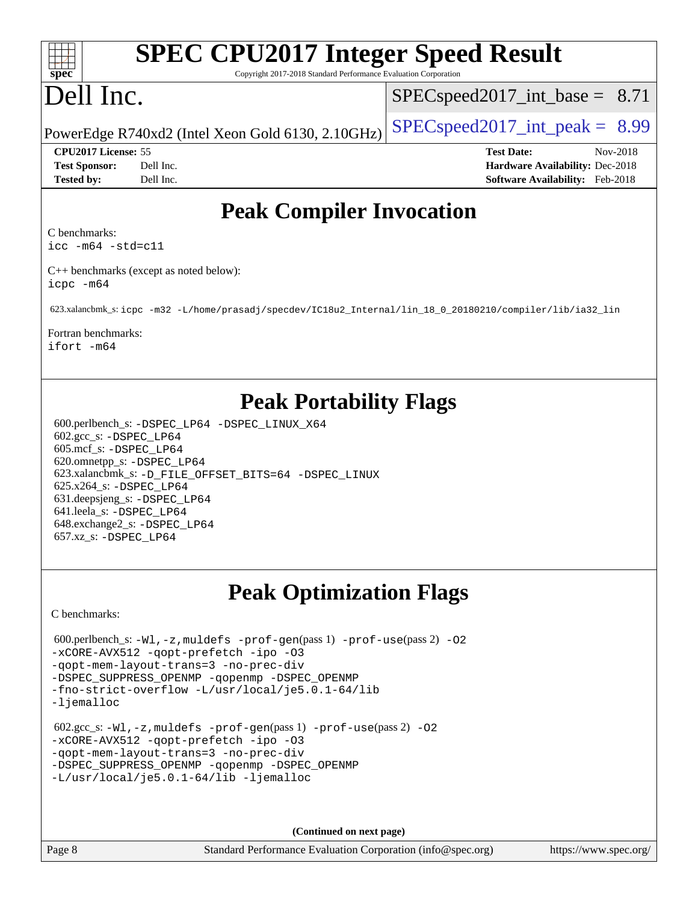#### $+\ +$ **[spec](http://www.spec.org/)**

# **[SPEC CPU2017 Integer Speed Result](http://www.spec.org/auto/cpu2017/Docs/result-fields.html#SPECCPU2017IntegerSpeedResult)**

Copyright 2017-2018 Standard Performance Evaluation Corporation

# Dell Inc.

 $SPECspeed2017\_int\_base = 8.71$ 

PowerEdge R740xd2 (Intel Xeon Gold 6130, 2.10GHz)  $\left|$  [SPECspeed2017\\_int\\_peak =](http://www.spec.org/auto/cpu2017/Docs/result-fields.html#SPECspeed2017intpeak) 8.99

**[CPU2017 License:](http://www.spec.org/auto/cpu2017/Docs/result-fields.html#CPU2017License)** 55 **[Test Date:](http://www.spec.org/auto/cpu2017/Docs/result-fields.html#TestDate)** Nov-2018 **[Test Sponsor:](http://www.spec.org/auto/cpu2017/Docs/result-fields.html#TestSponsor)** Dell Inc. **[Hardware Availability:](http://www.spec.org/auto/cpu2017/Docs/result-fields.html#HardwareAvailability)** Dec-2018 **[Tested by:](http://www.spec.org/auto/cpu2017/Docs/result-fields.html#Testedby)** Dell Inc. **[Software Availability:](http://www.spec.org/auto/cpu2017/Docs/result-fields.html#SoftwareAvailability)** Feb-2018

### **[Peak Compiler Invocation](http://www.spec.org/auto/cpu2017/Docs/result-fields.html#PeakCompilerInvocation)**

[C benchmarks](http://www.spec.org/auto/cpu2017/Docs/result-fields.html#Cbenchmarks):

[icc -m64 -std=c11](http://www.spec.org/cpu2017/results/res2018q4/cpu2017-20181210-10177.flags.html#user_CCpeak_intel_icc_64bit_c11_33ee0cdaae7deeeab2a9725423ba97205ce30f63b9926c2519791662299b76a0318f32ddfffdc46587804de3178b4f9328c46fa7c2b0cd779d7a61945c91cd35)

[C++ benchmarks \(except as noted below\)](http://www.spec.org/auto/cpu2017/Docs/result-fields.html#CXXbenchmarksexceptasnotedbelow): [icpc -m64](http://www.spec.org/cpu2017/results/res2018q4/cpu2017-20181210-10177.flags.html#user_CXXpeak_intel_icpc_64bit_4ecb2543ae3f1412ef961e0650ca070fec7b7afdcd6ed48761b84423119d1bf6bdf5cad15b44d48e7256388bc77273b966e5eb805aefd121eb22e9299b2ec9d9)

623.xalancbmk\_s: [icpc -m32 -L/home/prasadj/specdev/IC18u2\\_Internal/lin\\_18\\_0\\_20180210/compiler/lib/ia32\\_lin](http://www.spec.org/cpu2017/results/res2018q4/cpu2017-20181210-10177.flags.html#user_peakCXXLD623_xalancbmk_s_intel_icpc_c6d030cd79af6ea7d6fb64c57e8fe7ae8fe0b96fc5a3b3f4a10e3273b3d7fa9decd8263f6330cef23f751cb093a69fae84a2bf4c243500a8eed069248128076f)

[Fortran benchmarks](http://www.spec.org/auto/cpu2017/Docs/result-fields.html#Fortranbenchmarks): [ifort -m64](http://www.spec.org/cpu2017/results/res2018q4/cpu2017-20181210-10177.flags.html#user_FCpeak_intel_ifort_64bit_24f2bb282fbaeffd6157abe4f878425411749daecae9a33200eee2bee2fe76f3b89351d69a8130dd5949958ce389cf37ff59a95e7a40d588e8d3a57e0c3fd751)

### **[Peak Portability Flags](http://www.spec.org/auto/cpu2017/Docs/result-fields.html#PeakPortabilityFlags)**

 600.perlbench\_s: [-DSPEC\\_LP64](http://www.spec.org/cpu2017/results/res2018q4/cpu2017-20181210-10177.flags.html#b600.perlbench_s_peakPORTABILITY_DSPEC_LP64) [-DSPEC\\_LINUX\\_X64](http://www.spec.org/cpu2017/results/res2018q4/cpu2017-20181210-10177.flags.html#b600.perlbench_s_peakCPORTABILITY_DSPEC_LINUX_X64) 602.gcc\_s: [-DSPEC\\_LP64](http://www.spec.org/cpu2017/results/res2018q4/cpu2017-20181210-10177.flags.html#suite_peakPORTABILITY602_gcc_s_DSPEC_LP64) 605.mcf\_s: [-DSPEC\\_LP64](http://www.spec.org/cpu2017/results/res2018q4/cpu2017-20181210-10177.flags.html#suite_peakPORTABILITY605_mcf_s_DSPEC_LP64) 620.omnetpp\_s: [-DSPEC\\_LP64](http://www.spec.org/cpu2017/results/res2018q4/cpu2017-20181210-10177.flags.html#suite_peakPORTABILITY620_omnetpp_s_DSPEC_LP64) 623.xalancbmk\_s: [-D\\_FILE\\_OFFSET\\_BITS=64](http://www.spec.org/cpu2017/results/res2018q4/cpu2017-20181210-10177.flags.html#user_peakPORTABILITY623_xalancbmk_s_file_offset_bits_64_5ae949a99b284ddf4e95728d47cb0843d81b2eb0e18bdfe74bbf0f61d0b064f4bda2f10ea5eb90e1dcab0e84dbc592acfc5018bc955c18609f94ddb8d550002c) [-DSPEC\\_LINUX](http://www.spec.org/cpu2017/results/res2018q4/cpu2017-20181210-10177.flags.html#b623.xalancbmk_s_peakCXXPORTABILITY_DSPEC_LINUX) 625.x264\_s: [-DSPEC\\_LP64](http://www.spec.org/cpu2017/results/res2018q4/cpu2017-20181210-10177.flags.html#suite_peakPORTABILITY625_x264_s_DSPEC_LP64) 631.deepsjeng\_s: [-DSPEC\\_LP64](http://www.spec.org/cpu2017/results/res2018q4/cpu2017-20181210-10177.flags.html#suite_peakPORTABILITY631_deepsjeng_s_DSPEC_LP64) 641.leela\_s: [-DSPEC\\_LP64](http://www.spec.org/cpu2017/results/res2018q4/cpu2017-20181210-10177.flags.html#suite_peakPORTABILITY641_leela_s_DSPEC_LP64) 648.exchange2\_s: [-DSPEC\\_LP64](http://www.spec.org/cpu2017/results/res2018q4/cpu2017-20181210-10177.flags.html#suite_peakPORTABILITY648_exchange2_s_DSPEC_LP64) 657.xz\_s: [-DSPEC\\_LP64](http://www.spec.org/cpu2017/results/res2018q4/cpu2017-20181210-10177.flags.html#suite_peakPORTABILITY657_xz_s_DSPEC_LP64)

## **[Peak Optimization Flags](http://www.spec.org/auto/cpu2017/Docs/result-fields.html#PeakOptimizationFlags)**

[C benchmarks](http://www.spec.org/auto/cpu2017/Docs/result-fields.html#Cbenchmarks):

```
600.perlbench_s: -W1, -z, muldefs -prof-gen(pass 1)-prof-use(pass 2) -02
-xCORE-AVX512 -qopt-prefetch -ipo -O3
-qopt-mem-layout-trans=3 -no-prec-div
-DSPEC_SUPPRESS_OPENMP -qopenmp -DSPEC_OPENMP
-fno-strict-overflow -L/usr/local/je5.0.1-64/lib
-ljemalloc
 602.gcc_s: -Wl,-z,muldefs -prof-gen(pass 1) -prof-use(pass 2) -O2
-xCORE-AVX512 -qopt-prefetch -ipo -O3
-qopt-mem-layout-trans=3 -no-prec-div
-DSPEC_SUPPRESS_OPENMP -qopenmp -DSPEC_OPENMP
-L/usr/local/je5.0.1-64/lib -ljemalloc
```
**(Continued on next page)**